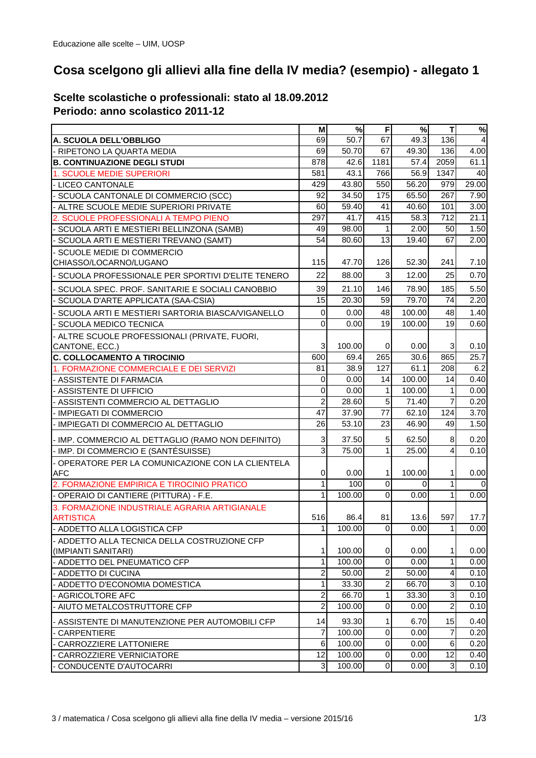## **Cosa scelgono gli allievi alla fine della IV media? (esempio) - allegato 1**

## **Scelte scolastiche o professionali: stato al 18.09.2012 Periodo: anno scolastico 2011-12**

|                                                     | M                | %               | F                | %              | ТI                | $\%$                    |
|-----------------------------------------------------|------------------|-----------------|------------------|----------------|-------------------|-------------------------|
| A. SCUOLA DELL'OBBLIGO                              | 69               | 50.7            | 67               | 49.3           | 136               | $\overline{\mathbf{4}}$ |
| - RIPETONO LA QUARTA MEDIA                          | 69               | 50.70           | 67               | 49.30          | 136               | 4.00                    |
| <b>B. CONTINUAZIONE DEGLI STUDI</b>                 | 878              | 42.6            | 1181             | 57.4           | 2059              | 61.1                    |
| <b>1. SCUOLE MEDIE SUPERIORI</b>                    | 581              | 43.1            | 766              | 56.9           | 1347              | 40                      |
| - LICEO CANTONALE                                   | 429              | 43.80           | 550              | 56.20          | 979               | 29.00                   |
| SCUOLA CANTONALE DI COMMERCIO (SCC)                 | 92               | 34.50           | 175              | 65.50          | 267               | 7.90                    |
| ALTRE SCUOLE MEDIE SUPERIORI PRIVATE                | 60               | 59.40           | 41               | 40.60          | 101               | 3.00                    |
| 2. SCUOLE PROFESSIONALI A TEMPO PIENO               | 297              | 41.7            | 415              | 58.3           | 712               | 21.1                    |
| SCUOLA ARTI E MESTIERI BELLINZONA (SAMB)            | 49               | 98.00           | 1                | 2.00           | 50                | 1.50                    |
| SCUOLA ARTI E MESTIERI TREVANO (SAMT)               | 54               | 80.60           | 13               | 19.40          | 67                | 2.00                    |
| SCUOLE MEDIE DI COMMERCIO                           |                  |                 |                  |                |                   |                         |
| CHIASSO/LOCARNO/LUGANO                              | 115              | 47.70           | 126              | 52.30          | 241               | 7.10                    |
| SCUOLA PROFESSIONALE PER SPORTIVI D'ELITE TENERO    | 22               | 88.00           | $\mathbf{3}$     | 12.00          | 25                | 0.70                    |
| SCUOLA SPEC. PROF. SANITARIE E SOCIALI CANOBBIO     | 39               | 21.10           | 146              | 78.90          | 185               | 5.50                    |
| SCUOLA D'ARTE APPLICATA (SAA-CSIA)                  | 15               | 20.30           | 59               | 79.70          | 74                | 2.20                    |
| SCUOLA ARTI E MESTIERI SARTORIA BIASCA/VIGANELLO    | $\mathbf 0$      | 0.00            | 48               | 100.00         | 48                | 1.40                    |
| SCUOLA MEDICO TECNICA                               | $\mathbf 0$      | 0.00            | 19               | 100.00         | 19                | 0.60                    |
| ALTRE SCUOLE PROFESSIONALI (PRIVATE, FUORI,         |                  |                 |                  |                |                   |                         |
| CANTONE, ECC.)                                      | 3                | 100.00          | 0                | 0.00           | 3                 | 0.10                    |
| <b>C. COLLOCAMENTO A TIROCINIO</b>                  | 600              | 69.4            | 265              | 30.6           | 865               | 25.7                    |
| 1. FORMAZIONE COMMERCIALE E DEI SERVIZI             | 81               | 38.9            | 127              | 61.1           | 208               | 6.2                     |
| - ASSISTENTE DI FARMACIA                            | $\pmb{0}$        | 0.00            | 14               | 100.00         | 14                | 0.40                    |
| - ASSISTENTE DI UFFICIO                             | $\boldsymbol{0}$ | 0.00            | $\mathbf{1}$     | 100.00         | $\mathbf{1}$      | 0.00                    |
| - ASSISTENTI COMMERCIO AL DETTAGLIO                 | $\overline{c}$   | 28.60           | 5                | 71.40          | $\overline{7}$    | 0.20                    |
| - IMPIEGATI DI COMMERCIO                            | 47               | 37.90           | 77               | 62.10          | 124               | 3.70                    |
| - IMPIEGATI DI COMMERCIO AL DETTAGLIO               | 26               | 53.10           | 23               | 46.90          | 49                | 1.50                    |
| - IMP. COMMERCIO AL DETTAGLIO (RAMO NON DEFINITO)   | $\sqrt{3}$       | 37.50           | $\overline{5}$   | 62.50          | 8                 | 0.20                    |
| - IMP. DI COMMERCIO E (SANTÉSUISSE)                 | ω                | 75.00           | $\overline{1}$   | 25.00          | 4                 | 0.10                    |
| OPERATORE PER LA COMUNICAZIONE CON LA CLIENTELA     |                  |                 |                  |                |                   |                         |
| <b>AFC</b>                                          | $\pmb{0}$        | 0.00            | 1                | 100.00         | $\mathbf{1}$      | 0.00                    |
| 2. FORMAZIONE EMPIRICA E TIROCINIO PRATICO          | $\mathbf 1$      | 100             | $\mathbf 0$      | $\overline{0}$ | 1                 | $\Omega$                |
| - OPERAIO DI CANTIERE (PITTURA) - F.E.              | 1                | 100.00          | $\mathbf 0$      | 0.00           | 1                 | 0.00                    |
| 3. FORMAZIONE INDUSTRIALE AGRARIA ARTIGIANALE       |                  |                 |                  |                |                   |                         |
| <b>ARTISTICA</b>                                    | 516              | 86.4            | 81               | 13.6           | 597               | 17.7                    |
| - ADDETTO ALLA LOGISTICA CFP                        | 11               | 100.00          | $\overline{0}$   | 0.00           | 11                | 0.001                   |
| - ADDETTO ALLA TECNICA DELLA COSTRUZIONE CFP        |                  |                 |                  |                |                   |                         |
| (IMPIANTI SANITARI)                                 | 1<br>1           | 100.00          | 0<br>$\mathbf 0$ | 0.00<br>0.00   | 1<br>$\mathbf{1}$ | 0.00                    |
| - ADDETTO DEL PNEUMATICO CFP<br>- ADDETTO DI CUCINA | $\overline{c}$   | 100.00<br>50.00 | 2                | 50.00          | 4                 | 0.00<br>0.10            |
|                                                     | 1                | 33.30           | $\overline{c}$   | 66.70          | $\overline{3}$    | 0.10                    |
| - ADDETTO D'ECONOMIA DOMESTICA<br>- AGRICOLTORE AFC | $\boldsymbol{2}$ | 66.70           | 1                | 33.30          | 3                 | 0.10                    |
| AIUTO METALCOSTRUTTORE CFP                          | $\overline{c}$   | 100.00          | $\mathbf 0$      | 0.00           | $\overline{a}$    | 0.10                    |
|                                                     |                  |                 |                  |                |                   |                         |
| - ASSISTENTE DI MANUTENZIONE PER AUTOMOBILI CFP     | 14               | 93.30           | 1                | 6.70           | 15                | 0.40                    |
| CARPENTIERE                                         | $\overline{7}$   | 100.00          | $\mathbf 0$      | 0.00           | $\overline{7}$    | 0.20                    |
| CARROZZIERE LATTONIERE                              | 6                | 100.00          | $\mathbf 0$      | 0.00           | 6                 | 0.20                    |
| CARROZZIERE VERNICIATORE                            | 12               | 100.00          | $\mathbf 0$      | 0.00           | 12                | 0.40                    |
| - CONDUCENTE D'AUTOCARRI                            | $\mathbf{3}$     | 100.00          | $\overline{0}$   | 0.00           | $\mathbf{3}$      | $\overline{0.10}$       |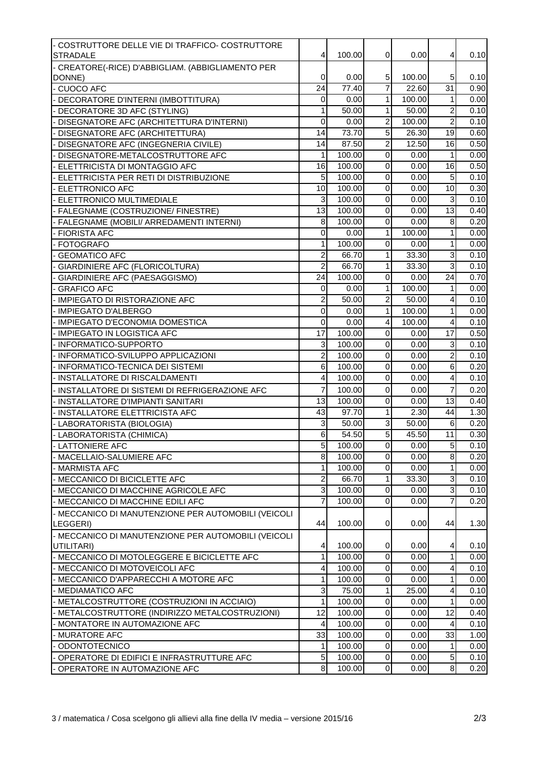| - COSTRUTTORE DELLE VIE DI TRAFFICO- COSTRUTTORE<br><b>STRADALE</b> | $\overline{4}$          | 100.00             | 0              | 0.00   | 4                       | 0.10 |
|---------------------------------------------------------------------|-------------------------|--------------------|----------------|--------|-------------------------|------|
| - CREATORE(-RICE) D'ABBIGLIAM. (ABBIGLIAMENTO PER                   |                         |                    |                |        |                         |      |
| DONNE)                                                              | $\mathbf 0$             | 0.00               | 5              | 100.00 | 5                       | 0.10 |
| <b>CUOCO AFC</b>                                                    | $\overline{24}$         | 77.40              | $\overline{7}$ | 22.60  | $\overline{31}$         | 0.90 |
| DECORATORE D'INTERNI (IMBOTTITURA)                                  | $\pmb{0}$               | 0.00               | $\mathbf{1}$   | 100.00 | $\mathbf{1}$            | 0.00 |
| - DECORATORE 3D AFC (STYLING)                                       | $\mathbf{1}$            | 50.00              | $\mathbf{1}$   | 50.00  | $\overline{c}$          | 0.10 |
| DISEGNATORE AFC (ARCHITETTURA D'INTERNI)                            | 0                       | 0.00               | $\overline{2}$ | 100.00 | $\overline{2}$          | 0.10 |
| DISEGNATORE AFC (ARCHITETTURA)                                      | 14                      | 73.70              | $\overline{5}$ | 26.30  | 19                      | 0.60 |
| DISEGNATORE AFC (INGEGNERIA CIVILE)                                 | 14                      | 87.50              | $\overline{2}$ | 12.50  | 16                      | 0.50 |
| DISEGNATORE-METALCOSTRUTTORE AFC                                    | 1                       | 100.00             | 0              | 0.00   | $\mathbf{1}$            | 0.00 |
| ELETTRICISTA DI MONTAGGIO AFC                                       | 16                      | 100.00             | 0              | 0.00   | $\overline{16}$         | 0.50 |
| ELETTRICISTA PER RETI DI DISTRIBUZIONE                              | 5 <sub>5</sub>          | 100.00             | $\pmb{0}$      | 0.00   | 5                       | 0.10 |
| <b>ELETTRONICO AFC</b>                                              | 10                      | 100.00             | $\pmb{0}$      | 0.00   | $\overline{10}$         | 0.30 |
| ELETTRONICO MULTIMEDIALE                                            | $\overline{3}$          | 100.00             | $\overline{0}$ | 0.00   | $\mathbf{3}$            | 0.10 |
| FALEGNAME (COSTRUZIONE/ FINESTRE)                                   | 13                      | 100.00             | 0              | 0.00   | $\overline{13}$         | 0.40 |
| FALEGNAME (MOBILI/ ARREDAMENTI INTERNI)                             | 8                       | 100.00             | 0              | 0.00   | 8                       | 0.20 |
| <b>FIORISTA AFC</b>                                                 | $\pmb{0}$               | 0.00               | 1              | 100.00 | 1                       | 0.00 |
| <b>FOTOGRAFO</b>                                                    | 1                       | 100.00             | 0              | 0.00   | 1                       | 0.00 |
| <b>GEOMATICO AFC</b>                                                | $\overline{2}$          | 66.70              | 1              | 33.30  | 3                       | 0.10 |
| <b>GIARDINIERE AFC (FLORICOLTURA)</b>                               | $\overline{c}$          | 66.70              | $\mathbf{1}$   | 33.30  | 3                       | 0.10 |
| GIARDINIERE AFC (PAESAGGISMO)                                       | 24                      | 100.00             | $\mathbf 0$    | 0.00   | 24                      | 0.70 |
| <b>GRAFICO AFC</b>                                                  | $\pmb{0}$               | 0.00               | $\mathbf{1}$   | 100.00 | $\mathbf{1}$            | 0.00 |
| <b>IMPIEGATO DI RISTORAZIONE AFC</b>                                | $\overline{\mathbf{c}}$ | 50.00              | $\overline{c}$ | 50.00  | $\overline{\mathbf{4}}$ | 0.10 |
| - IMPIEGATO D'ALBERGO                                               | 0                       | 0.00               | $\overline{1}$ | 100.00 | $\mathbf{1}$            | 0.00 |
| - IMPIEGATO D'ECONOMIA DOMESTICA                                    | 0                       | 0.00               | $\overline{4}$ | 100.00 | 4                       | 0.10 |
| - IMPIEGATO IN LOGISTICA AFC                                        | 17                      | 100.00             | $\pmb{0}$      | 0.00   | 17                      | 0.50 |
| - INFORMATICO-SUPPORTO                                              | $\overline{3}$          | 100.00             | $\mathbf 0$    | 0.00   | 3                       | 0.10 |
| INFORMATICO-SVILUPPO APPLICAZIONI                                   | $\overline{c}$          | 100.00             | $\pmb{0}$      | 0.00   | $\overline{c}$          | 0.10 |
| INFORMATICO-TECNICA DEI SISTEMI                                     | $6 \mid$                | 100.00             | $\pmb{0}$      | 0.00   | $\,6$                   | 0.20 |
| INSTALLATORE DI RISCALDAMENTI                                       | $\overline{\mathbf{4}}$ | 100.00             | 0              | 0.00   | $\overline{\mathbf{r}}$ | 0.10 |
| INSTALLATORE DI SISTEMI DI REFRIGERAZIONE AFC                       | $\overline{7}$          | 100.00             | 0              | 0.00   | $\overline{7}$          | 0.20 |
| INSTALLATORE D'IMPIANTI SANITARI                                    | 13                      | 100.00             | 0              | 0.00   | 13                      | 0.40 |
| INSTALLATORE ELETTRICISTA AFC                                       | 43                      | 97.70              | $\mathbf{1}$   | 2.30   | 44                      | 1.30 |
| LABORATORISTA (BIOLOGIA)                                            | $\sqrt{3}$              | $\overline{50.00}$ | $\mathbf 3$    | 50.00  | 6                       | 0.20 |
| - LABORATORISTA (CHIMICA)                                           | $\,6$                   | 54.50              | $\overline{5}$ | 45.50  | 11                      | 0.30 |
| - LATTONIERE AFC                                                    | 5 <sub>5</sub>          | 100.00             | $\overline{0}$ | 0.00   | 5 <sub>l</sub>          | 0.10 |
| - MACELLAIO-SALUMIERE AFC                                           | œ.                      | 100.00             | 0              | 0.00   | œ.                      | 0.20 |
| - MARMISTA AFC                                                      | $\mathbf{1}$            | 100.00             | 0              | 0.00   | 1                       | 0.00 |
| - MECCANICO DI BICICLETTE AFC                                       | $\overline{c}$          | 66.70              | $\mathbf{1}$   | 33.30  | 3                       | 0.10 |
| - MECCANICO DI MACCHINE AGRICOLE AFC                                | $\overline{3}$          | 100.00             | $\pmb{0}$      | 0.00   | $\overline{3}$          | 0.10 |
| MECCANICO DI MACCHINE EDILI AFC                                     | $\overline{7}$          | 100.00             | $\mathbf 0$    | 0.00   | $\overline{7}$          | 0.20 |
| - MECCANICO DI MANUTENZIONE PER AUTOMOBILI (VEICOLI                 |                         |                    |                |        |                         |      |
| LEGGERI)                                                            | 44                      | 100.00             | 0              | 0.00   | 44                      | 1.30 |
| - MECCANICO DI MANUTENZIONE PER AUTOMOBILI (VEICOLI                 |                         |                    |                |        |                         |      |
| UTILITARI)                                                          | $\overline{4}$          | 100.00             | 0              | 0.00   | 4                       | 0.10 |
| - MECCANICO DI MOTOLEGGERE E BICICLETTE AFC                         | $\mathbf{1}$            | 100.00             | $\mathbf 0$    | 0.00   | $\mathbf{1}$            | 0.00 |
| - MECCANICO DI MOTOVEICOLI AFC                                      | $\overline{4}$          | 100.00             | 0              | 0.00   | 4                       | 0.10 |
| - MECCANICO D'APPARECCHI A MOTORE AFC                               | $\mathbf{1}$            | 100.00             | 0              | 0.00   | $\mathbf{1}$            | 0.00 |
| MEDIAMATICO AFC                                                     | $\mathbf{3}$            | 75.00              | $\mathbf{1}$   | 25.00  | 4                       | 0.10 |
| - METALCOSTRUTTORE (COSTRUZIONI IN ACCIAIO)                         | 1                       | 100.00             | 0              | 0.00   | 1                       | 0.00 |
| - METALCOSTRUTTORE (INDIRIZZO METALCOSTRUZIONI)                     | 12                      | 100.00             | $\mathbf 0$    | 0.00   | 12                      | 0.40 |
| MONTATORE IN AUTOMAZIONE AFC                                        | $\overline{a}$          | 100.00             | $\mathbf 0$    | 0.00   | $\overline{4}$          | 0.10 |
| - MURATORE AFC                                                      | 33                      | 100.00             | $\mathbf 0$    | 0.00   | 33                      | 1.00 |
| - ODONTOTECNICO                                                     | 1                       | 100.00             | $\mathbf 0$    | 0.00   | $\mathbf{1}$            | 0.00 |
| OPERATORE DI EDIFICI E INFRASTRUTTURE AFC                           | 5 <sub>l</sub>          | 100.00             | 0              | 0.00   | $\sqrt{5}$              | 0.10 |
| OPERATORE IN AUTOMAZIONE AFC                                        | $\bf{8}$                | 100.00             | 0              | 0.00   | $\bf{8}$                | 0.20 |